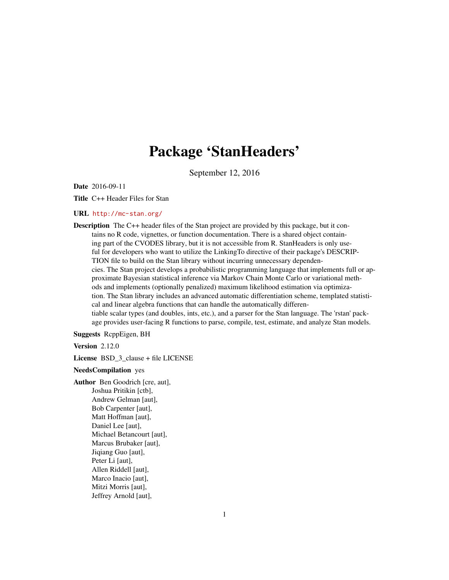## Package 'StanHeaders'

September 12, 2016

Date 2016-09-11

Title C++ Header Files for Stan

#### URL <http://mc-stan.org/>

Description The C++ header files of the Stan project are provided by this package, but it contains no R code, vignettes, or function documentation. There is a shared object containing part of the CVODES library, but it is not accessible from R. StanHeaders is only useful for developers who want to utilize the LinkingTo directive of their package's DESCRIP-TION file to build on the Stan library without incurring unnecessary dependencies. The Stan project develops a probabilistic programming language that implements full or approximate Bayesian statistical inference via Markov Chain Monte Carlo or variational methods and implements (optionally penalized) maximum likelihood estimation via optimization. The Stan library includes an advanced automatic differentiation scheme, templated statistical and linear algebra functions that can handle the automatically differentiable scalar types (and doubles, ints, etc.), and a parser for the Stan language. The 'rstan' package provides user-facing R functions to parse, compile, test, estimate, and analyze Stan models.

Suggests RcppEigen, BH

Version 2.12.0

License BSD\_3\_clause + file LICENSE

#### NeedsCompilation yes

Author Ben Goodrich [cre, aut], Joshua Pritikin [ctb], Andrew Gelman [aut], Bob Carpenter [aut], Matt Hoffman [aut], Daniel Lee [aut], Michael Betancourt [aut], Marcus Brubaker [aut], Jiqiang Guo [aut], Peter Li [aut], Allen Riddell [aut], Marco Inacio [aut], Mitzi Morris [aut], Jeffrey Arnold [aut],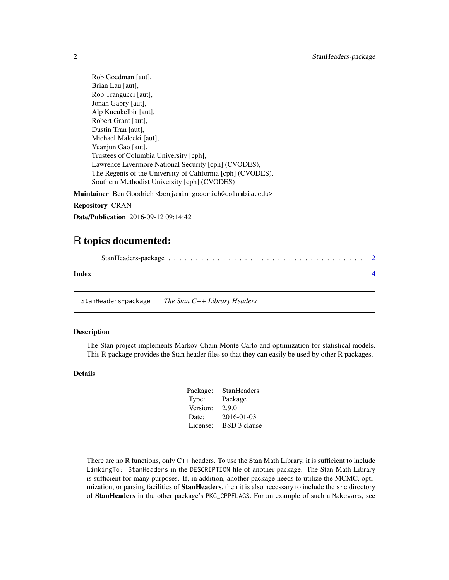<span id="page-1-0"></span>Rob Goedman [aut], Brian Lau [aut], Rob Trangucci [aut], Jonah Gabry [aut], Alp Kucukelbir [aut], Robert Grant [aut], Dustin Tran [aut], Michael Malecki [aut], Yuanjun Gao [aut], Trustees of Columbia University [cph], Lawrence Livermore National Security [cph] (CVODES), The Regents of the University of California [cph] (CVODES), Southern Methodist University [cph] (CVODES)

Maintainer Ben Goodrich <br/>benjamin.goodrich@columbia.edu>

Repository CRAN

Date/Publication 2016-09-12 09:14:42

### R topics documented:

| Index |  |
|-------|--|
|       |  |

StanHeaders-package *The Stan C++ Library Headers*

#### Description

The Stan project implements Markov Chain Monte Carlo and optimization for statistical models. This R package provides the Stan header files so that they can easily be used by other R packages.

#### Details

| Package: | <b>StanHeaders</b>  |
|----------|---------------------|
| Type:    | Package             |
| Version: | 2.9.0               |
| Date:    | 2016-01-03          |
| License: | <b>BSD 3 clause</b> |
|          |                     |

There are no R functions, only C++ headers. To use the Stan Math Library, it is sufficient to include LinkingTo: StanHeaders in the DESCRIPTION file of another package. The Stan Math Library is sufficient for many purposes. If, in addition, another package needs to utilize the MCMC, optimization, or parsing facilities of **StanHeaders**, then it is also necessary to include the src directory of StanHeaders in the other package's PKG\_CPPFLAGS. For an example of such a Makevars, see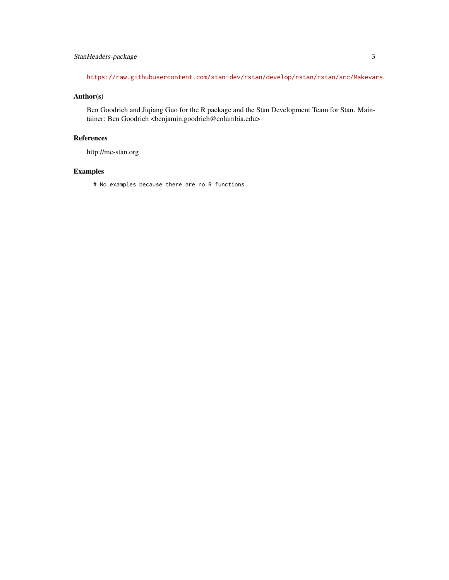#### StanHeaders-package 3

<https://raw.githubusercontent.com/stan-dev/rstan/develop/rstan/rstan/src/Makevars>.

#### Author(s)

Ben Goodrich and Jiqiang Guo for the R package and the Stan Development Team for Stan. Maintainer: Ben Goodrich <br/> <br/> <br/> <br/> <br/>enjamin.goodrich@columbia.edu>

#### References

http://mc-stan.org

#### Examples

# No examples because there are no R functions.